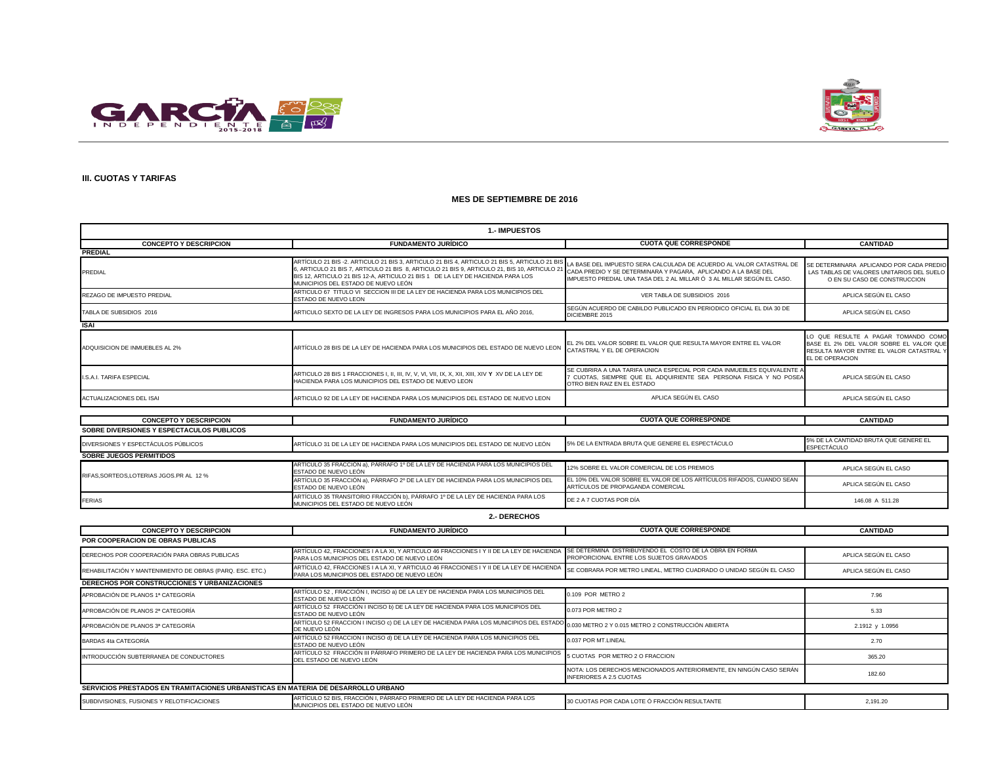



## **III. CUOTAS Y TARIFAS**

| <b>1.- IMPUESTOS</b>                                                              |                                                                                                                                                                                                                                                                                                                                                                                      |                                                                                                                                                                             |                                                                                                                                               |
|-----------------------------------------------------------------------------------|--------------------------------------------------------------------------------------------------------------------------------------------------------------------------------------------------------------------------------------------------------------------------------------------------------------------------------------------------------------------------------------|-----------------------------------------------------------------------------------------------------------------------------------------------------------------------------|-----------------------------------------------------------------------------------------------------------------------------------------------|
| <b>CONCEPTO Y DESCRIPCION</b>                                                     | <b>FUNDAMENTO JURÍDICO</b>                                                                                                                                                                                                                                                                                                                                                           | <b>CUOTA QUE CORRESPONDE</b>                                                                                                                                                | <b>CANTIDAD</b>                                                                                                                               |
| <b>PREDIAL</b>                                                                    |                                                                                                                                                                                                                                                                                                                                                                                      |                                                                                                                                                                             |                                                                                                                                               |
| PREDIAL                                                                           | ARTÍCULO 21 BIS -2. ARTICULO 21 BIS 3, ARTICULO 21 BIS 4, ARTICULO 21 BIS 5, ARTICULO 21 BIS<br>6, ARTICULO 21 BIS 7, ARTICULO 21 BIS 8, ARTICULO 21 BIS 9, ARTICULO 21, BIS 10, ARTICULO 21 CADA PREDIO Y SE DETERMINARA Y PAGARA, APLICANDO A LA BASE DEL<br>BIS 12, ARTICULO 21 BIS 12-A, ARTICULO 21 BIS 1 DE LA LEY DE HACIENDA PARA LOS<br>MUNICIPIOS DEL ESTADO DE NUEVO LEÓN | A BASE DEL IMPUESTO SERA CALCULADA DE ACUERDO AL VALOR CATASTRAL DE<br>IMPUESTO PREDIAL UNA TASA DEL 2 AL MILLAR Ó 3 AL MILLAR SEGÚN EL CASO.                               | SE DETERMINARA APLICANDO POR CADA PREDIO<br>LAS TABLAS DE VALORES UNITARIOS DEL SUELO<br>O EN SU CASO DE CONSTRUCCION                         |
| REZAGO DE IMPUESTO PREDIAL                                                        | ARTICULO 67 TITULO VI SECCION III DE LA LEY DE HACIENDA PARA LOS MUNICIPIOS DEL<br>ESTADO DE NUEVO LEON                                                                                                                                                                                                                                                                              | VER TABLA DE SUBSIDIOS 2016                                                                                                                                                 | APLICA SEGÚN EL CASO                                                                                                                          |
| TABLA DE SUBSIDIOS 2016                                                           | ARTICULO SEXTO DE LA LEY DE INGRESOS PARA LOS MUNICIPIOS PARA EL AÑO 2016,                                                                                                                                                                                                                                                                                                           | SEGÚN ACUERDO DE CABILDO PUBLICADO EN PERIODICO OFICIAL EL DIA 30 DE<br>DICIEMBRE 2015                                                                                      | APLICA SEGÚN EL CASO                                                                                                                          |
| <b>ISAI</b>                                                                       |                                                                                                                                                                                                                                                                                                                                                                                      |                                                                                                                                                                             |                                                                                                                                               |
| ADQUISICION DE INMUEBLES AL 2%                                                    | ARTÍCULO 28 BIS DE LA LEY DE HACIENDA PARA LOS MUNICIPIOS DEL ESTADO DE NUEVO LEON                                                                                                                                                                                                                                                                                                   | EL 2% DEL VALOR SOBRE EL VALOR QUE RESULTA MAYOR ENTRE EL VALOR<br>CATASTRAL Y EL DE OPERACION                                                                              | LO QUE RESULTE A PAGAR TOMANDO COMO<br>BASE EL 2% DEL VALOR SOBRE EL VALOR QUE<br>RESULTA MAYOR ENTRE EL VALOR CATASTRAL Y<br>EL DE OPERACION |
| I.S.A.I. TARIFA ESPECIAL                                                          | HACIENDA PARA LOS MUNICIPIOS DEL ESTADO DE NUEVO LEON                                                                                                                                                                                                                                                                                                                                | SE CUBRIRA A UNA TARIFA UNICA ESPECIAL POR CADA INMUEBLES EQUIVALENTE.<br>' CUOTAS, SIEMPRE QUE EL ADQUIRIENTE SEA PERSONA FISICA Y NO POSEA<br>OTRO BIEN RAIZ EN EL ESTADO | APLICA SEGÚN EL CASO                                                                                                                          |
| ACTUALIZACIONES DEL ISAI                                                          | ARTICULO 92 DE LA LEY DE HACIENDA PARA LOS MUNICIPIOS DEL ESTADO DE NUEVO LEON                                                                                                                                                                                                                                                                                                       | APLICA SEGÚN EL CASO                                                                                                                                                        | APLICA SEGÚN EL CASO                                                                                                                          |
|                                                                                   |                                                                                                                                                                                                                                                                                                                                                                                      |                                                                                                                                                                             |                                                                                                                                               |
| <b>CONCEPTO Y DESCRIPCION</b>                                                     | <b>FUNDAMENTO JURÍDICO</b>                                                                                                                                                                                                                                                                                                                                                           | <b>CUOTA QUE CORRESPONDE</b>                                                                                                                                                | <b>CANTIDAD</b>                                                                                                                               |
| SOBRE DIVERSIONES Y ESPECTACULOS PUBLICOS                                         |                                                                                                                                                                                                                                                                                                                                                                                      |                                                                                                                                                                             |                                                                                                                                               |
| DIVERSIONES Y ESPECTÁCULOS PÚBLICOS                                               | ARTÍCULO 31 DE LA LEY DE HACIENDA PARA LOS MUNICIPIOS DEL ESTADO DE NUEVO LEÓN                                                                                                                                                                                                                                                                                                       | 5% DE LA ENTRADA BRUTA QUE GENERE EL ESPECTÁCULO                                                                                                                            | 5% DE LA CANTIDAD BRUTA QUE GENERE EL<br>ESPECTÁCULO                                                                                          |
| SOBRE JUEGOS PERMITIDOS                                                           |                                                                                                                                                                                                                                                                                                                                                                                      |                                                                                                                                                                             |                                                                                                                                               |
| RIFAS, SORTEOS, LOTERIAS JGOS.PR AL 12 %                                          | ARTÍCULO 35 FRACCIÓN a), PÁRRAFO 1º DE LA LEY DE HACIENDA PARA LOS MUNICIPIOS DEL<br>ESTADO DE NUEVO LEÓN                                                                                                                                                                                                                                                                            | 12% SOBRE EL VALOR COMERCIAL DE LOS PREMIOS                                                                                                                                 | APLICA SEGÚN EL CASO                                                                                                                          |
|                                                                                   | ARTÍCULO 35 FRACCIÓN a), PÁRRAFO 2º DE LA LEY DE HACIENDA PARA LOS MUNICIPIOS DEL<br>ESTADO DE NUEVO LEÓN                                                                                                                                                                                                                                                                            | EL 10% DEL VALOR SOBRE EL VALOR DE LOS ARTÍCULOS RIFADOS, CUANDO SEAN<br>ARTÍCULOS DE PROPAGANDA COMERCIAL                                                                  | APLICA SEGÚN EL CASO                                                                                                                          |
| <b>FERIAS</b>                                                                     | ARTÍCULO 35 TRANSITORIO FRACCIÓN b), PÁRRAFO 1º DE LA LEY DE HACIENDA PARA LOS<br>MUNICIPIOS DEL ESTADO DE NUEVO LEÓN                                                                                                                                                                                                                                                                | DE 2 A 7 CUOTAS POR DÍA                                                                                                                                                     | 146.08 A 511.28                                                                                                                               |
|                                                                                   | 2.- DERECHOS                                                                                                                                                                                                                                                                                                                                                                         |                                                                                                                                                                             |                                                                                                                                               |
| <b>CONCEPTO Y DESCRIPCION</b>                                                     | <b>FUNDAMENTO JURÍDICO</b>                                                                                                                                                                                                                                                                                                                                                           | <b>CUOTA QUE CORRESPONDE</b>                                                                                                                                                | <b>CANTIDAD</b>                                                                                                                               |
| POR COOPERACION DE OBRAS PUBLICAS                                                 |                                                                                                                                                                                                                                                                                                                                                                                      |                                                                                                                                                                             |                                                                                                                                               |
| DERECHOS POR COOPERACIÓN PARA OBRAS PUBLICAS                                      | ARTÍCULO 42, FRACCIONES I A LA XI, Y ARTICULO 46 FRACCIONES I Y II DE LA LEY DE HACIENDA<br>PARA LOS MUNICIPIOS DEL ESTADO DE NUEVO LEÓN                                                                                                                                                                                                                                             | SE DETERMINA DISTRIBUYENDO EL COSTO DE LA OBRA EN FORMA<br>PROPORCIONAL ENTRE LOS SUJETOS GRAVADOS                                                                          | APLICA SEGÚN EL CASO                                                                                                                          |
| REHABILITACIÓN Y MANTENIMIENTO DE OBRAS (PARQ. ESC. ETC.)                         | ARTÍCULO 42, FRACCIONES I A LA XI, Y ARTICULO 46 FRACCIONES I Y II DE LA LEY DE HACIENDA<br>PARA LOS MUNICIPIOS DEL ESTADO DE NUEVO LEÓN                                                                                                                                                                                                                                             | SE COBRARA POR METRO LINEAL, METRO CUADRADO O UNIDAD SEGÚN EL CASO                                                                                                          | APLICA SEGÚN EL CASO                                                                                                                          |
| DERECHOS POR CONSTRUCCIONES Y URBANIZACIONES                                      |                                                                                                                                                                                                                                                                                                                                                                                      |                                                                                                                                                                             |                                                                                                                                               |
| APROBACIÓN DE PLANOS 1ª CATEGORÍA                                                 | ARTÍCULO 52, FRACCIÓN I, INCISO a) DE LA LEY DE HACIENDA PARA LOS MUNICIPIOS DEL<br>ESTADO DE NUEVO LEÓN                                                                                                                                                                                                                                                                             | 0.109 POR METRO 2                                                                                                                                                           | 7.96                                                                                                                                          |
| APROBACIÓN DE PLANOS 2ª CATEGORÍA                                                 | ARTÍCULO 52 FRACCIÓN I INCISO b) DE LA LEY DE HACIENDA PARA LOS MUNICIPIOS DEL<br>ESTADO DE NUEVO LEÓN                                                                                                                                                                                                                                                                               | 0.073 POR METRO 2                                                                                                                                                           | 5.33                                                                                                                                          |
| APROBACIÓN DE PLANOS 3ª CATEGORÍA                                                 | ARTÍCULO 52 FRACCION I INCISO c) DE LA LEY DE HACIENDA PARA LOS MUNICIPIOS DEL ESTADO<br>DE NUEVO LEÓN                                                                                                                                                                                                                                                                               | 0.030 METRO 2 Y 0.015 METRO 2 CONSTRUCCIÓN ABIERTA                                                                                                                          | 2.1912 y 1.0956                                                                                                                               |
| BARDAS 4ta CATEGORÍA                                                              | ARTÍCULO 52 FRACCION I INCISO d) DE LA LEY DE HACIENDA PARA LOS MUNICIPIOS DEL<br>ESTADO DE NUEVO LEON                                                                                                                                                                                                                                                                               | 0.037 POR MT.LINEAL                                                                                                                                                         | 2.70                                                                                                                                          |
| INTRODUCCIÓN SUBTERRANEA DE CONDUCTORES                                           | ARTÍCULO 52 FRACCIÓN III PÁRRAFO PRIMERO DE LA LEY DE HACIENDA PARA LOS MUNICIPIOS<br>DEL ESTADO DE NUEVO LEÓN                                                                                                                                                                                                                                                                       | 5 CUOTAS POR METRO 2 O FRACCION                                                                                                                                             | 365.20                                                                                                                                        |
|                                                                                   |                                                                                                                                                                                                                                                                                                                                                                                      | NOTA: LOS DERECHOS MENCIONADOS ANTERIORMENTE, EN NINGÚN CASO SERÁN<br><b>INFERIORES A 2.5 CUOTAS</b>                                                                        | 182.60                                                                                                                                        |
| SERVICIOS PRESTADOS EN TRAMITACIONES URBANISTICAS EN MATERIA DE DESARROLLO URBANO |                                                                                                                                                                                                                                                                                                                                                                                      |                                                                                                                                                                             |                                                                                                                                               |
| SUBDIVISIONES, FUSIONES Y RELOTIFICACIONES                                        | ARTÍCULO 52 BIS, FRACCIÓN I, PÁRRAFO PRIMERO DE LA LEY DE HACIENDA PARA LOS<br>MUNICIPIOS DEL ESTADO DE NUEVO LEÓN                                                                                                                                                                                                                                                                   | 30 CUOTAS POR CADA LOTE Ó FRACCIÓN RESULTANTE                                                                                                                               | 2,191.20                                                                                                                                      |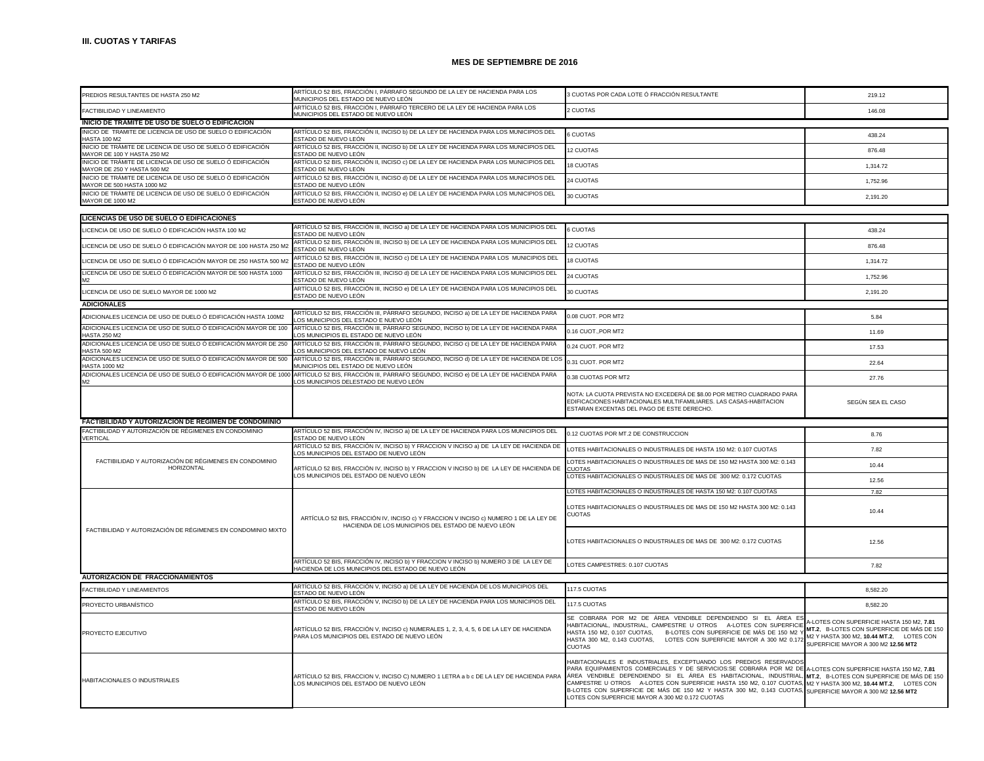| PREDIOS RESULTANTES DE HASTA 250 M2                                                        | ARTÍCULO 52 BIS, FRACCIÓN I, PÁRRAFO SEGUNDO DE LA LEY DE HACIENDA PARA LOS<br>MUNICIPIOS DEL ESTADO DE NUEVO LEÓN                                                             | 3 CUOTAS POR CADA LOTE Ó FRACCIÓN RESULTANTE                                                                                                                                                                                                                                                                                                                                                                                                                                                                                              | 219.12                                                                                                                                                                     |
|--------------------------------------------------------------------------------------------|--------------------------------------------------------------------------------------------------------------------------------------------------------------------------------|-------------------------------------------------------------------------------------------------------------------------------------------------------------------------------------------------------------------------------------------------------------------------------------------------------------------------------------------------------------------------------------------------------------------------------------------------------------------------------------------------------------------------------------------|----------------------------------------------------------------------------------------------------------------------------------------------------------------------------|
| FACTIBILIDAD Y LINFAMIENTO                                                                 | ARTÍCULO 52 BIS, FRACCIÓN I, PÁRRAFO TERCERO DE LA LEY DE HACIENDA PARA LOS<br>MUNICIPIOS DEL ESTADO DE NUEVO LEÓN                                                             | 2 CUOTAS                                                                                                                                                                                                                                                                                                                                                                                                                                                                                                                                  | 146.08                                                                                                                                                                     |
| INICIO DE TRAMITE DE USO DE SUELO O EDIFICACION                                            |                                                                                                                                                                                |                                                                                                                                                                                                                                                                                                                                                                                                                                                                                                                                           |                                                                                                                                                                            |
| INICIO DE TRAMITE DE LICENCIA DE USO DE SUELO O EDIFICACIÓN<br><b>HASTA 100 M2</b>         | ARTÍCULO 52 BIS, FRACCIÓN II, INCISO b) DE LA LEY DE HACIENDA PARA LOS MUNICIPIOS DEL<br>ESTADO DE NUEVO LEÓN                                                                  | 6 CUOTAS                                                                                                                                                                                                                                                                                                                                                                                                                                                                                                                                  | 438.24                                                                                                                                                                     |
| INICIO DE TRÁMITE DE LICENCIA DE USO DE SUELO Ó EDIFICACIÓN<br>MAYOR DE 100 Y HASTA 250 M2 | ARTÍCULO 52 BIS, FRACCIÓN II, INCISO b) DE LA LEY DE HACIENDA PARA LOS MUNICIPIOS DEL<br>ESTADO DE NUEVO LEÓN                                                                  | 12 CUOTAS                                                                                                                                                                                                                                                                                                                                                                                                                                                                                                                                 | 876.48                                                                                                                                                                     |
| INICIO DE TRÁMITE DE LICENCIA DE USO DE SUELO Ó EDIFICACIÓN<br>MAYOR DE 250 Y HASTA 500 M2 | ARTÍCULO 52 BIS, FRACCIÓN II, INCISO c) DE LA LEY DE HACIENDA PARA LOS MUNICIPIOS DEL<br>ESTADO DE NUEVO LEÓN                                                                  | <b>18 CUOTAS</b>                                                                                                                                                                                                                                                                                                                                                                                                                                                                                                                          | 1,314.72                                                                                                                                                                   |
| NICIO DE TRÁMITE DE LICENCIA DE USO DE SUELO Ó EDIFICACIÓN<br>MAYOR DE 500 HASTA 1000 M2   | ARTÍCULO 52 BIS, FRACCIÓN II, INCISO d) DE LA LEY DE HACIENDA PARA LOS MUNICIPIOS DEL<br>ESTADO DE NUEVO LEÓN                                                                  | 24 CUOTAS                                                                                                                                                                                                                                                                                                                                                                                                                                                                                                                                 | 1.752.96                                                                                                                                                                   |
| INICIO DE TRÁMITE DE LICENCIA DE USO DE SUELO Ó EDIFICACIÓN<br>MAYOR DE 1000 M2            | ARTÍCULO 52 BIS, FRACCIÓN II, INCISO e) DE LA LEY DE HACIENDA PARA LOS MUNICIPIOS DEL<br>ESTADO DE NUEVO LEÓN                                                                  | 30 CUOTAS                                                                                                                                                                                                                                                                                                                                                                                                                                                                                                                                 | 2,191.20                                                                                                                                                                   |
|                                                                                            |                                                                                                                                                                                |                                                                                                                                                                                                                                                                                                                                                                                                                                                                                                                                           |                                                                                                                                                                            |
| LICENCIAS DE USO DE SUELO O EDIFICACIONES                                                  |                                                                                                                                                                                |                                                                                                                                                                                                                                                                                                                                                                                                                                                                                                                                           |                                                                                                                                                                            |
| LICENCIA DE USO DE SUELO Ó EDIFICACIÓN HASTA 100 M2                                        | ARTÍCULO 52 BIS, FRACCIÓN III, INCISO a) DE LA LEY DE HACIENDA PARA LOS MUNICIPIOS DEL<br>ESTADO DE NUEVO LEÓN                                                                 | 6 CUOTAS                                                                                                                                                                                                                                                                                                                                                                                                                                                                                                                                  | 438.24                                                                                                                                                                     |
| LICENCIA DE USO DE SUELO Ó EDIFICACIÓN MAYOR DE 100 HASTA 250 M2                           | ARTÍCULO 52 BIS, FRACCIÓN III, INCISO b) DE LA LEY DE HACIENDA PARA LOS MUNICIPIOS DEL<br>ESTADO DE NUEVO LEÓN                                                                 | 12 CUOTAS                                                                                                                                                                                                                                                                                                                                                                                                                                                                                                                                 | 876.48                                                                                                                                                                     |
| LICENCIA DE USO DE SUELO Ó EDIFICACIÓN MAYOR DE 250 HASTA 500 M2                           | ARTÍCULO 52 BIS, FRACCIÓN III, INCISO c) DE LA LEY DE HACIENDA PARA LOS MUNICIPIOS DEL<br>ESTADO DE NUEVO LEÓN                                                                 | 18 CUOTAS                                                                                                                                                                                                                                                                                                                                                                                                                                                                                                                                 | 1,314.72                                                                                                                                                                   |
| LICENCIA DE USO DE SUELO Ó EDIFICACIÓN MAYOR DE 500 HASTA 1000                             | ARTÍCULO 52 BIS, FRACCIÓN III, INCISO d) DE LA LEY DE HACIENDA PARA LOS MUNICIPIOS DEL<br>ESTADO DE NUEVO LEÓN                                                                 | 24 CUOTAS                                                                                                                                                                                                                                                                                                                                                                                                                                                                                                                                 | 1.752.96                                                                                                                                                                   |
| LICENCIA DE USO DE SUELO MAYOR DE 1000 M2                                                  | ARTÍCULO 52 BIS, FRACCIÓN III, INCISO e) DE LA LEY DE HACIENDA PARA LOS MUNICIPIOS DEL<br>ESTADO DE NUEVO LEÓN                                                                 | 30 CUOTAS                                                                                                                                                                                                                                                                                                                                                                                                                                                                                                                                 | 2.191.20                                                                                                                                                                   |
| <b>ADICIONALES</b>                                                                         |                                                                                                                                                                                |                                                                                                                                                                                                                                                                                                                                                                                                                                                                                                                                           |                                                                                                                                                                            |
| ADICIONALES LICENCIA DE USO DE DUELO Ó EDIFICACIÓN HASTA 100M2                             | ARTÍCULO 52 BIS, FRACCIÓN III, PÁRRAFO SEGUNDO, INCISO a) DE LA LEY DE HACIENDA PARA<br>OS MUNICIPIOS DEL ESTADO E NUEVO LEÓN                                                  | 0.08 CLIOT. POR MT2                                                                                                                                                                                                                                                                                                                                                                                                                                                                                                                       | 5.84                                                                                                                                                                       |
| ADICIONALES LICENCIA DE USO DE SUELO Ó EDIFICACIÓN MAYOR DE 100<br><b>HASTA 250 M2</b>     | ARTÍCULO 52 BIS, FRACCIÓN III, PÁRRAFO SEGUNDO, INCISO b) DE LA LEY DE HACIENDA PARA                                                                                           | 0.16 CUOT., POR MT2                                                                                                                                                                                                                                                                                                                                                                                                                                                                                                                       | 11.69                                                                                                                                                                      |
| ADICIONALES LICENCIA DE USO DE SUELO Ó EDIFICACIÓN MAYOR DE 250                            | LOS MUNICIPIOS EL ESTADO DE NUEVO LEÓN<br>ARTÍCULO 52 BIS, FRACCIÓN III, PÁRRAFO SEGUNDO, INCISO c) DE LA LEY DE HACIENDA PARA                                                 | 0.24 CUOT. POR MT2                                                                                                                                                                                                                                                                                                                                                                                                                                                                                                                        | 17.53                                                                                                                                                                      |
| <b>HASTA 500 M2</b><br>ADICIONALES LICENCIA DE USO DE SUELO Ó EDIFICACIÓN MAYOR DE 500     | LOS MUNICIPIOS DEL ESTADO DE NUEVO LEÓN.<br>ARTÍCULO 52 BIS, FRACCIÓN III, PÁRRAFO SEGUNDO, INCISO d) DE LA LEY DE HACIENDA DE LOS                                             | 0.31 CUOT, POR MT2                                                                                                                                                                                                                                                                                                                                                                                                                                                                                                                        | 22.64                                                                                                                                                                      |
| <b>HASTA 1000 M2</b><br>ADICIONALES LICENCIA DE USO DE SUELO Ó EDIFICACIÓN MAYOR DE 1000   | <i>I</i> UNICIPIOS DEL ESTADO DE NUEVO LEÓN<br>ARTÍCULO 52 BIS, FRACCIÓN III, PÁRRAFO SEGUNDO, INCISO e) DE LA LEY DE HACIENDA PARA                                            | 0.38 CUOTAS POR MT2                                                                                                                                                                                                                                                                                                                                                                                                                                                                                                                       | 27.76                                                                                                                                                                      |
| M <sub>2</sub>                                                                             | OS MUNICIPIOS DELESTADO DE NUEVO LEÓN                                                                                                                                          |                                                                                                                                                                                                                                                                                                                                                                                                                                                                                                                                           |                                                                                                                                                                            |
|                                                                                            |                                                                                                                                                                                | NOTA: LA CUOTA PREVISTA NO EXCEDERÁ DE \$8.00 POR METRO CUADRADO PARA<br>EDIFICACIONES HABITACIONALES MULTIFAMILIARES. LAS CASAS-HABITACION<br>ESTARAN EXCENTAS DEL PAGO DE ESTE DERECHO.                                                                                                                                                                                                                                                                                                                                                 | SEGÚN SEA EL CASO                                                                                                                                                          |
| FACTIBILIDAD Y AUTORIZACION DE REGIMEN DE CONDOMINIO                                       |                                                                                                                                                                                |                                                                                                                                                                                                                                                                                                                                                                                                                                                                                                                                           |                                                                                                                                                                            |
| FACTIBILIDAD Y AUTORIZACIÓN DE RÉGIMENES EN CONDOMINIO                                     | ARTÍCULO 52 BIS, FRACCIÓN IV, INCISO a) DE LA LEY DE HACIENDA PARA LOS MUNICIPIOS DEL                                                                                          | 0.12 CUOTAS POR MT.2 DE CONSTRUCCION                                                                                                                                                                                                                                                                                                                                                                                                                                                                                                      | 8.76                                                                                                                                                                       |
| VERTICAL                                                                                   | ESTADO DE NUEVO LEÓN<br>ARTÍCULO 52 BIS, FRACCIÓN IV, INCISO b) Y FRACCION V INCISO a) DE LA LEY DE HACIENDA DE                                                                | OTES HABITACIONALES O INDUSTRIALES DE HASTA 150 M2: 0.107 CUOTAS                                                                                                                                                                                                                                                                                                                                                                                                                                                                          | 7.82                                                                                                                                                                       |
| FACTIBILIDAD Y AUTORIZACIÓN DE RÉGIMENES EN CONDOMINIO                                     | LOS MUNICIPIOS DEL ESTADO DE NUEVO LEÓN<br>ARTÍCULO 52 BIS, FRACCIÓN IV, INCISO b) Y FRACCION V INCISO b) DE LA LEY DE HACIENDA DE<br>LOS MUNICIPIOS DEL ESTADO DE NUEVO LEÓN. | LOTES HABITACIONALES O INDUSTRIALES DE MAS DE 150 M2 HASTA 300 M2: 0.143                                                                                                                                                                                                                                                                                                                                                                                                                                                                  | 10.44                                                                                                                                                                      |
| HORIZONTAL                                                                                 |                                                                                                                                                                                | <b>CUOTAS</b><br>LOTES HABITACIONALES O INDUSTRIALES DE MAS DE 300 M2: 0.172 CUOTAS                                                                                                                                                                                                                                                                                                                                                                                                                                                       | 12.56                                                                                                                                                                      |
|                                                                                            |                                                                                                                                                                                |                                                                                                                                                                                                                                                                                                                                                                                                                                                                                                                                           |                                                                                                                                                                            |
|                                                                                            |                                                                                                                                                                                | LOTES HABITACIONALES O INDUSTRIALES DE HASTA 150 M2: 0.107 CUOTAS                                                                                                                                                                                                                                                                                                                                                                                                                                                                         | 7.82                                                                                                                                                                       |
| FACTIBILIDAD Y AUTORIZACIÓN DE RÉGIMENES EN CONDOMINIO MIXTO                               | ARTÍCULO 52 BIS, FRACCIÓN IV, INCISO c) Y FRACCION V INCISO c) NUMERO 1 DE LA LEY DE<br>HACIENDA DE LOS MUNICÍPIOS DEL ESTADO DE NÚEVO LEÓN                                    | LOTES HABITACIONALES O INDUSTRIALES DE MAS DE 150 M2 HASTA 300 M2: 0.143<br><b>CUOTAS</b>                                                                                                                                                                                                                                                                                                                                                                                                                                                 | 10.44                                                                                                                                                                      |
|                                                                                            |                                                                                                                                                                                | OTES HABITACIONALES O INDUSTRIALES DE MAS DE 300 M2: 0.172 CUOTAS                                                                                                                                                                                                                                                                                                                                                                                                                                                                         | 12.56                                                                                                                                                                      |
|                                                                                            | ARTÍCULO 52 BIS, FRACCIÓN IV, INCISO b) Y FRACCION V INCISO b) NUMERO 3 DE LA LEY DE<br>HACIENDA DE LOS MUNICIPIOS DEL ESTADO DE NUEVO LEÓN                                    | LOTES CAMPESTRES: 0.107 CUOTAS                                                                                                                                                                                                                                                                                                                                                                                                                                                                                                            | 7.82                                                                                                                                                                       |
| <b>AUTORIZACION DE FRACCIONAMIENTOS</b>                                                    |                                                                                                                                                                                |                                                                                                                                                                                                                                                                                                                                                                                                                                                                                                                                           |                                                                                                                                                                            |
| FACTIBILIDAD Y LINEAMIENTOS                                                                | ARTÍCULO 52 BIS, FRACCIÓN V, INCISO a) DE LA LEY DE HACIENDA DE LOS MUNICIPIOS DEL<br>ESTADO DE NUEVO LEÓN                                                                     | 117.5 CUOTAS                                                                                                                                                                                                                                                                                                                                                                                                                                                                                                                              | 8,582.20                                                                                                                                                                   |
| PROYECTO URBANÍSTICO                                                                       | ARTÍCULO 52 BIS, FRACCIÓN V, INCISO b) DE LA LEY DE HACIENDA PARA LOS MUNICIPIOS DEL<br>ESTADO DE NUEVO LEÓN                                                                   | 117.5 CUOTAS                                                                                                                                                                                                                                                                                                                                                                                                                                                                                                                              | 8.582.20                                                                                                                                                                   |
|                                                                                            |                                                                                                                                                                                | SE COBRARA POR M2 DE ÁREA VENDIBLE DEPENDIENDO SI EL ÁREA ES                                                                                                                                                                                                                                                                                                                                                                                                                                                                              |                                                                                                                                                                            |
| PROYECTO EJECUTIVO                                                                         | ARTÍCULO 52 BIS, FRACCIÓN V, INCISO c) NUMERALES 1, 2, 3, 4, 5, 6 DE LA LEY DE HACIENDA<br>PARA LOS MUNICIPIOS DEL ESTADO DE NUEVO LEÓN                                        | HABITACIONAL, INDUSTRIAL, CAMPESTRE U OTROS A-LOTES CON SUPERFICIE<br>HASTA 150 M2, 0.107 CUOTAS.<br>B-LOTES CON SUPERFICIE DE MÁS DE 150 M2 Y<br>HASTA 300 M2, 0.143 CUOTAS,<br>LOTES CON SUPERFICIE MAYOR A 300 M2 0.172<br><b>CUOTAS</b>                                                                                                                                                                                                                                                                                               | A-LOTES CON SUPERFICIE HASTA 150 M2, 7.81<br>MT.2. B-LOTES CON SUPERFICIE DE MÁS DE 150<br>M2 Y HASTA 300 M2, 10.44 MT.2. LOTES CON<br>SUPERFICIE MAYOR A 300 M2 12.56 MT2 |
| HABITACIONALES O INDUSTRIALES                                                              | ARTÍCULO 52 BIS, FRACCION V, INCISO C) NUMERO 1 LETRA a b c DE LA LEY DE HACIENDA PARA<br>LOS MUNICIPIOS DEL ESTADO DE NUEVO LEÓN                                              | HABITACIONALES E INDUSTRIALES, EXCEPTUANDO LOS PREDIOS RESERVADOS<br>PARA EQUIPAMIENTOS COMERCIALES Y DE SERVICIOS:SE COBRARA POR M2 DE<br>ÁREA VENDIBLE DEPENDIENDO SI EL ÁREA ES HABITACIONAL, INDUSTRIAL, MT.2, B-LOTES CON SUPERFICIE DE MÁS DE 150<br>CAMPESTRE U OTROS A-LOTES CON SUPERFICIE HASTA 150 M2, 0.107 CUOTAS, M2 Y HASTA 300 M2, 10.44 MT.2, LOTES CON<br>B-LOTES CON SUPERFICIE DE MÁS DE 150 M2 Y HASTA 300 M2, 0.143 CUOTAS, SUPERFICIE MAYOR A 300 M2 12.56 MT2<br>LOTES CON SUPERFICIE MAYOR A 300 M2 0.172 CUOTAS | A-LOTES CON SUPERFICIE HASTA 150 M2, 7.81                                                                                                                                  |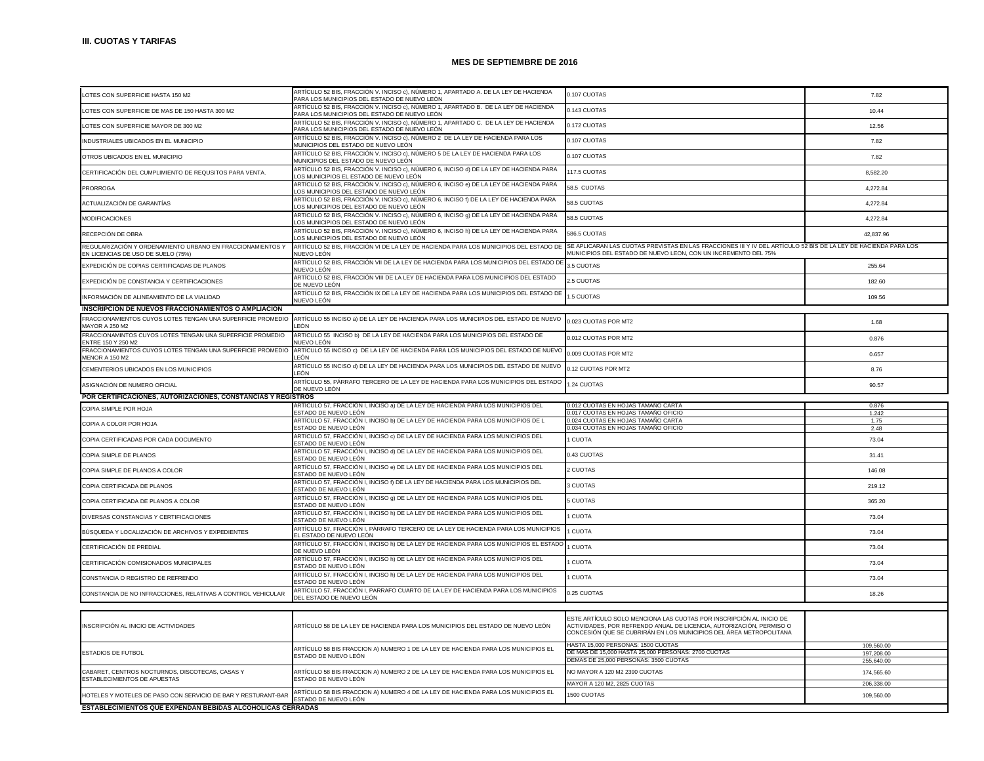| LOTES CON SUPERFICIE HASTA 150 M2                                                                | ARTÍCULO 52 BIS, FRACCIÓN V. INCISO c), NÚMERO 1, APARTADO A. DE LA LEY DE HACIENDA<br>ARA LOS MUNICIPIOS DEL ESTADO DE NUEVO LEÓN  | 0.107 CUOTAS                                                                                                                                                                                                      | 7.82                     |
|--------------------------------------------------------------------------------------------------|-------------------------------------------------------------------------------------------------------------------------------------|-------------------------------------------------------------------------------------------------------------------------------------------------------------------------------------------------------------------|--------------------------|
| LOTES CON SUPERFICIE DE MAS DE 150 HASTA 300 M2                                                  | ARTÍCULO 52 BIS, FRACCIÓN V. INCISO c), NÚMERO 1, APARTADO B. DE LA LEY DE HACIENDA<br>ARA LOS MUNICIPIOS DEL ESTADO DE NUEVO LEÓN  | 0.143 CUOTAS                                                                                                                                                                                                      | 10.44                    |
| LOTES CON SUPERFICIE MAYOR DE 300 M2                                                             | ARTÍCULO 52 BIS, FRACCIÓN V. INCISO c), NÚMERO 1, APARTADO C. DE LA LEY DE HACIENDA<br>PARA LOS MUNICIPIOS DEL ESTADO DE NUEVO LEÓN | 0.172 CUOTAS                                                                                                                                                                                                      | 12.56                    |
| INDUSTRIALES UBICADOS EN EL MUNICIPIO                                                            | ARTÍCULO 52 BIS, FRACCIÓN V. INCISO c), NÚMERO 2  DE LA LEY DE HACIENDA PARA LOS<br>MUNICIPIOS DEL ESTADO DE NUEVO LEÓN             | 0.107 CUOTAS                                                                                                                                                                                                      | 7.82                     |
| OTROS UBICADOS EN EL MUNICIPIO                                                                   | ARTÍCULO 52 BIS, FRACCIÓN V. INCISO c), NÚMERO 5 DE LA LEY DE HACIENDA PARA LOS<br>MUNICIPIOS DEL ESTADO DE NUEVO LEÓN              | 0.107 CUOTAS                                                                                                                                                                                                      | 7.82                     |
| CERTIFICACIÓN DEL CUMPLIMIENTO DE REQUSITOS PARA VENTA.                                          | ARTÍCULO 52 BIS, FRACCIÓN V. INCISO c), NÚMERO 6, INCISO d) DE LA LEY DE HACIENDA PARA<br>OS MUNICIPIOS EL ESTADO DE NUEVO LEÓN     | 117.5 CUOTAS                                                                                                                                                                                                      | 8,582.20                 |
| <b>PRORROGA</b>                                                                                  | ARTÍCULO 52 BIS, FRACCIÓN V. INCISO c), NÚMERO 6, INCISO e) DE LA LEY DE HACIENDA PARA<br>OS MUNICIPIOS DEL ESTADO DE NUEVO LEÓN    | 58.5 CUOTAS                                                                                                                                                                                                       | 4.272.84                 |
| ACTUALIZACIÓN DE GARANTÍAS                                                                       | ARTÍCULO 52 BIS, FRACCIÓN V. INCISO c), NÚMERO 6, INCISO f) DE LA LEY DE HACIENDA PARA<br>OS MUNICIPIOS DEL ESTADO DE NUEVO LEÓN.   | 58.5 CUOTAS                                                                                                                                                                                                       | 4,272.84                 |
| <b>MODIFICACIONES</b>                                                                            | ARTÍCULO 52 BIS, FRACCIÓN V. INCISO c), NÚMERO 6, INCISO g) DE LA LEY DE HACIENDA PARA<br>OS MUNICIPIOS DEL ESTADO DE NUEVO LEÓN    | 58.5 CUOTAS                                                                                                                                                                                                       | 4,272.84                 |
| RECEPCIÓN DE OBRA                                                                                | ARTÍCULO 52 BIS, FRACCIÓN V. INCISO c), NÚMERO 6, INCISO h) DE LA LEY DE HACIENDA PARA<br>LOS MUNICIPIOS DEL ESTADO DE NUEVO LEÓN   | 586.5 CUOTAS                                                                                                                                                                                                      | 42.837.96                |
| REGULARIZACIÓN Y ORDENAMIENTO URBANO EN FRACCIONAMIENTOS Y<br>EN LICENCIAS DE USO DE SUELO (75%) | ARTÍCULO 52 BIS, FRACCIÓN VI DE LA LEY DE HACIENDA PARA LOS MUNICIPIOS DEL ESTADO DE<br>NUEVO LEÓN                                  | SE APLICARAN LAS CUOTAS PREVISTAS EN LAS FRACCIONES III Y IV DEL ARTÍCULO 52 BIS DE LA LEY DE HACIENDA PARA LOS<br>MUNICIPIOS DEL ESTADO DE NUEVO LEON, CON UN INCREMENTO DEL 75%                                 |                          |
| EXPEDICIÓN DE COPIAS CERTIFICADAS DE PLANOS                                                      | ARTÍCULO 52 BIS, FRACCIÓN VII DE LA LEY DE HACIENDA PARA LOS MUNICIPIOS DEL ESTADO DE<br>NUEVO LEÓN                                 | 3.5 CUOTAS                                                                                                                                                                                                        | 255.64                   |
| EXPEDICIÓN DE CONSTANCIA Y CERTIFICACIONES                                                       | ARTÍCULO 52 BIS. FRACCIÓN VIII DE LA LEY DE HACIENDA PARA LOS MUNICIPIOS DEL ESTADO<br>DE NUEVO LEÓN                                | 2.5 CUOTAS                                                                                                                                                                                                        | 182.60                   |
| INFORMACIÓN DE ALINEAMIENTO DE LA VIALIDAD                                                       | ARTÍCULO 52 BIS, FRACCIÓN IX DE LA LEY DE HACIENDA PARA LOS MUNICIPIOS DEL ESTADO DE<br>NUEVO LEÓN                                  | 1.5 CUOTAS                                                                                                                                                                                                        | 109.56                   |
| <b>INSCRIPCION DE NUEVOS FRACCIONAMIENTOS O AMPLIACION</b>                                       |                                                                                                                                     |                                                                                                                                                                                                                   |                          |
| FRACCIONAMIENTOS CUYOS LOTES TENGAN UNA SUPERFICIE PROMEDIO<br><b>MAYOR A 250 M2</b>             | ARTÍCULO 55 INCISO a) DE LA LEY DE HACIENDA PARA LOS MUNICIPIOS DEL ESTADO DE NUEVO 0.023 CUOTAS POR MT2<br>FÓN                     |                                                                                                                                                                                                                   | 1.68                     |
| FRACCIONAMINTOS CUYOS LOTES TENGAN UNA SUPERFICIE PROMEDIO<br>FNTRF 150 Y 250 M2                 | ARTÍCULO 55 INCISO b) DE LA LEY DE HACIENDA PARA LOS MUNICIPIOS DEL ESTADO DE<br>NUEVO LEÓN                                         | 0.012 CUOTAS POR MT2                                                                                                                                                                                              | 0.876                    |
| FRACCIONAMIENTOS CUYOS LOTES TENGAN UNA SUPERFICIE PROMEDIO<br><b>MFNOR A 150 M2</b>             | ARTÍCULO 55 INCISO c) DE LA LEY DE HACIENDA PARA LOS MUNICIPIOS DEL ESTADO DE NUEVC<br>FÓN                                          | 0.009 CUOTAS POR MT2                                                                                                                                                                                              | 0.657                    |
| CEMENTERIOS UBICADOS EN LOS MUNICIPIOS                                                           | ARTÍCULO 55 INCISO d) DE LA LEY DE HACIENDA PARA LOS MUNICIPIOS DEL ESTADO DE NUEVO<br>_EÓN                                         | 0.12 CUOTAS POR MT2                                                                                                                                                                                               | 8.76                     |
| ASIGNACIÓN DE NUMERO OFICIAL                                                                     | ARTÍCULO 55, PÁRRAFO TERCERO DE LA LEY DE HACIENDA PARA LOS MUNICIPIOS DEL ESTADO<br>DE NUEVO LEÓN                                  | 1.24 CUOTAS                                                                                                                                                                                                       | 90.57                    |
| POR CERTIFICACIONES, AUTORIZACIONES, CONSTANCIAS Y REGISTROS                                     |                                                                                                                                     |                                                                                                                                                                                                                   |                          |
| COPIA SIMPLE POR HOJA                                                                            | RTÍCULO 57, FRACCIÓN I, INCISO a) DE LA LEY DE HACIENDA PARA LOS MUNICIPIOS DEL<br>STADO DE NUEVO LEÓN                              | .012 CUOTAS EN HOJAS TAMANO CARTA<br>017 CUOTAS EN HOJAS TAMAÑO OFICIO                                                                                                                                            | 0.876                    |
| COPIA A COLOR POR HOJA                                                                           | ARTÍCULO 57, FRACCIÓN I, INCISO b) DE LA LEY DE HACIENDA PARA LOS MUNICIPIOS DE L<br>ESTADO DE NUEVO LEÓN                           | 024 CUOTAS EN HOJAS TAMAÑO CARTA<br>0.034 CUOTAS EN HOJAS TAMANO OFICIO                                                                                                                                           | 1.242<br>1.75            |
| COPIA CERTIFICADAS POR CADA DOCUMENTO                                                            | ARTÍCULO 57, FRACCIÓN I, INCISO c) DE LA LEY DE HACIENDA PARA LOS MUNICIPIOS DEL<br>STADO DE NUEVO LEÓN                             | <b>CUOTA</b>                                                                                                                                                                                                      | 2.48<br>73.04            |
| COPIA SIMPLE DE PLANOS                                                                           | ARTÍCULO 57, FRACCIÓN I, INCISO d) DE LA LEY DE HACIENDA PARA LOS MUNICIPIOS DEL<br>STADO DE NUEVO LEÓN                             | 0.43 CUOTAS                                                                                                                                                                                                       | 31.41                    |
| COPIA SIMPLE DE PLANOS A COLOR                                                                   | ARTÍCULO 57, FRACCIÓN I, INCISO e) DE LA LEY DE HACIENDA PARA LOS MUNICIPIOS DEL<br>ESTADO DE NUEVO LEÓN                            | <b>CUOTAS</b>                                                                                                                                                                                                     | 146.08                   |
| COPIA CERTIFICADA DE PLANOS                                                                      | ARTÍCULO 57, FRACCIÓN I, INCISO f) DE LA LEY DE HACIENDA PARA LOS MUNICIPIOS DEL<br>STADO DE NUEVO LEÓN                             | 3 CUOTAS                                                                                                                                                                                                          | 219.12                   |
| COPIA CERTIFICADA DE PLANOS A COLOR                                                              | ARTÍCULO 57, FRACCIÓN I, INCISO g) DE LA LEY DE HACIENDA PARA LOS MUNICIPIOS DEL<br>STADO DE NUEVO LEÓN                             | <b>S CUOTAS</b>                                                                                                                                                                                                   | 365.20                   |
| DIVERSAS CONSTANCIAS Y CERTIFICACIONES                                                           | ARTÍCULO 57, FRACCIÓN I, INCISO h) DE LA LEY DE HACIENDA PARA LOS MUNICIPIOS DEL<br>ESTADO DE NUEVO LEÓN                            | I CUOTA                                                                                                                                                                                                           | 73.04                    |
| BÚSQUEDA Y LOCALIZACIÓN DE ARCHIVOS Y EXPEDIENTES                                                | ARTÍCULO 57, FRACCIÓN I, PÁRRAFO TERCERO DE LA LEY DE HACIENDA PARA LOS MUNICIPIOS<br>EL ESTADO DE NUEVO LEÓN                       | <b>CUOTA</b>                                                                                                                                                                                                      | 73.04                    |
| CERTIFICACIÓN DE PREDIAL                                                                         | ARTÍCULO 57, FRACCIÓN I, INCISO h) DE LA LEY DE HACIENDA PARA LOS MUNICIPIOS EL ESTADO<br>DE NUEVO LEÓN                             | <b>CUOTA</b>                                                                                                                                                                                                      | 73.04                    |
| CERTIFICACIÓN COMISIONADOS MUNICIPALES                                                           | ARTÍCULO 57, FRACCIÓN I, INCISO h) DE LA LEY DE HACIENDA PARA LOS MUNICIPIOS DEL<br>ESTADO DE NUEVO LEÓN                            | <b>CUOTA</b>                                                                                                                                                                                                      | 73.04                    |
| CONSTANCIA O REGISTRO DE REFRENDO                                                                | ARTÍCULO 57, FRACCIÓN I, INCISO h) DE LA LEY DE HACIENDA PARA LOS MUNICIPIOS DEL<br>ESTADO DE NUEVO LEÓN                            | <b>CUOTA</b>                                                                                                                                                                                                      | 73.04                    |
| CONSTANCIA DE NO INFRACCIONES, RELATIVAS A CONTROL VEHICULAR                                     | ARTÍCULO 57, FRACCIÓN I, PARRAFO CUARTO DE LA LEY DE HACIENDA PARA LOS MUNICIPIOS<br>DEL ESTADO DE NUEVO LEÓN                       | 0.25 CUOTAS                                                                                                                                                                                                       | 18.26                    |
|                                                                                                  |                                                                                                                                     |                                                                                                                                                                                                                   |                          |
| INSCRIPCIÓN AL INICIO DE ACTIVIDADES                                                             | ARTÍCULO 58 DE LA LEY DE HACIENDA PARA LOS MUNICIPIOS DEL ESTADO DE NUEVO LEÓN                                                      | ESTE ARTÍCULO SOLO MENCIONA LAS CUOTAS POR INSCRIPCIÓN AL INICIO DE<br>ACTIVIDADES, POR REFRENDO ANUAL DE LICENCIA, AUTORIZACIÓN, PERMISO O<br>CONCESIÓN QUE SE CUBRIRÁN EN LOS MUNICIPIOS DEL ÁREA METROPOLITANA |                          |
| <b>ESTADIOS DE FUTBOL</b>                                                                        | ARTÍCULO 58 BIS FRACCION A) NUMERO 1 DE LA LEY DE HACIENDA PARA LOS MUNICIPIOS EL<br>ESTADO DE NUEVO LEÓN                           | IASTA 15,000 PERSONAS: 1500 CUOTAS<br>DE MAS DE 15,000 HASTA 25,000 PERSONAS: 2700 CUOTAS                                                                                                                         | 109.560.00<br>197,208.00 |
|                                                                                                  |                                                                                                                                     | DEMAS DE 25,000 PERSONAS: 3500 CUOTAS                                                                                                                                                                             | 255.640.00               |
| CABARET, CENTROS NOCTURNOS, DISCOTECAS, CASAS Y<br><b>ESTABLECIMIENTOS DE APUESTAS</b>           | ARTÍCULO 58 BIS FRACCION A) NUMERO 2 DE LA LEY DE HACIENDA PARA LOS MUNICIPIOS EL<br>ESTADO DE NUEVO LEÓN                           | NO MAYOR A 120 M2 2390 CUOTAS<br>AAYOR A 120 M2, 2825 CUOTAS                                                                                                                                                      | 174,565.60<br>206.338.00 |
| HOTELES Y MOTELES DE PASO CON SERVICIO DE BAR Y RESTURANT-BAR                                    | ARTÍCULO 58 BIS FRACCION A) NUMERO 4 DE LA LEY DE HACIENDA PARA LOS MUNICIPIOS EL<br>ESTADO DE NUEVO LEÓN                           | 1500 CUOTAS                                                                                                                                                                                                       | 109.560.00               |
| ESTABLECIMIENTOS QUE EXPENDAN BEBIDAS ALCOHOLICAS CERRADAS                                       |                                                                                                                                     |                                                                                                                                                                                                                   |                          |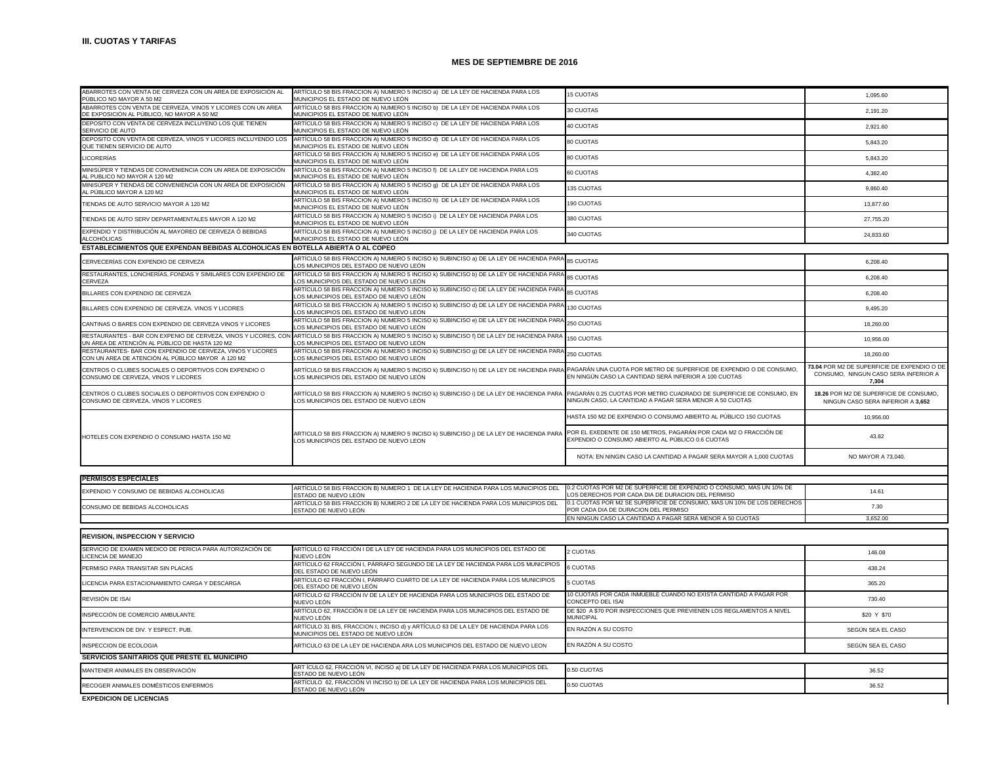| ABARROTES CON VENTA DE CERVEZA CON UN AREA DE EXPOSICIÓN AL<br>PÚBLICO NO MAYOR A 50 M2                           | ARTÍCULO 58 BIS FRACCION A) NUMERO 5 INCISO a) DE LA LEY DE HACIENDA PARA LOS<br>MUNICIPIOS EL ESTADO DE NUEVO LEÓN               | <b>15 CUOTAS</b>                                                                                                               | 1,095.60                                                                                     |
|-------------------------------------------------------------------------------------------------------------------|-----------------------------------------------------------------------------------------------------------------------------------|--------------------------------------------------------------------------------------------------------------------------------|----------------------------------------------------------------------------------------------|
| ABARROTES CON VENTA DE CERVEZA, VINOS Y LICORES CON UN AREA<br>DE EXPOSICIÓN AL PÚBLICO, NO MAYOR A 50 M2         | ARTÍCULO 58 BIS FRACCION A) NUMERO 5 INCISO b) DE LA LEY DE HACIENDA PARA LOS<br>MUNICIPIOS EL ESTADO DE NUEVO LEÓN               | 30 CUOTAS                                                                                                                      | 2,191.20                                                                                     |
| DEPOSITO CON VENTA DE CERVEZA INCLUYENO LOS QUE TIENEN<br>SERVICIO DE AUTO                                        | ARTÍCULO 58 BIS FRACCION A) NUMERO 5 INCISO c) DE LA LEY DE HACIENDA PARA LOS<br>MUNICIPIOS EL ESTADO DE NUEVO LEÓN               | 40 CUOTAS                                                                                                                      | 2,921.60                                                                                     |
| DEPOSITO CON VENTA DE CERVEZA, VINOS Y LICORES INCLUYENDO LOS<br>QUE TIENEN SERVICIO DE AUTO                      | ARTÍCULO 58 BIS FRACCION A) NUMERO 5 INCISO d) DE LA LEY DE HACIENDA PARA LOS<br>MUNICIPIOS EL ESTADO DE NUEVO LEÓN               | 80 CUOTAS                                                                                                                      | 5,843.20                                                                                     |
| <b>LICORERÍAS</b>                                                                                                 | ARTÍCULO 58 BIS FRACCION A) NUMERO 5 INCISO e) DE LA LEY DE HACIENDA PARA LOS<br>MUNICIPIOS EL ESTADO DE NUEVO LEÓN               | 80 CUOTAS                                                                                                                      | 5,843.20                                                                                     |
| MINISÚPER Y TIENDAS DE CONVENIENCIA CON UN AREA DE EXPOSICIÓN<br>AL PUBLICO NO MAYOR A 120 M2                     | ARTÍCULO 58 BIS FRACCION A) NUMERO 5 INCISO f) DE LA LEY DE HACIENDA PARA LOS<br>MUNICIPIOS EL ESTADO DE NUEVO LEÓN               | 60 CUOTAS                                                                                                                      | 4,382.40                                                                                     |
| MINISÚPER Y TIENDAS DE CONVENIENCIA CON UN AREA DE EXPOSICIÓN<br>L PÚBLICO MAYOR A 120 M2                         | ARTÍCULO 58 BIS FRACCION A) NUMERO 5 INCISO 9) DE LA LEY DE HACIENDA PARA LOS<br>MUNICIPIOS EL ESTADO DE NUEVO LEÓN               | 135 CUOTAS                                                                                                                     | 9,860.40                                                                                     |
| TIENDAS DE AUTO SERVICIO MAYOR A 120 M2                                                                           | ARTÍCULO 58 BIS FRACCION A) NUMERO 5 INCISO h) DE LA LEY DE HACIENDA PARA LOS<br>MUNICIPIOS EL ESTADO DE NUEVO LEÓN               | 190 CUOTAS                                                                                                                     | 13.877.60                                                                                    |
| TIENDAS DE AUTO SERV DEPARTAMENTALES MAYOR A 120 M2                                                               | ARTÍCULO 58 BIS FRACCION A) NUMERO 5 INCISO i) DE LA LEY DE HACIENDA PARA LOS<br>MUNICIPIOS EL ESTADO DE NUEVO LEÓN               | 380 CUOTAS                                                                                                                     | 27,755.20                                                                                    |
| EXPENDIO Y DISTRIBUCIÓN AL MAYOREO DE CERVEZA Ó BEBIDAS<br>ALCOHÓLICAS                                            | ARTÍCULO 58 BIS FRACCION A) NUMERO 5 INCISO j) DE LA LEY DE HACIENDA PARA LOS<br>MUNICIPIOS EL ESTADO DE NUEVO LEÓN               | 340 CUOTAS                                                                                                                     | 24,833.60                                                                                    |
| ESTABLECIMIENTOS QUE EXPENDAN BEBIDAS ALCOHOLICAS EN BOTELLA ABIERTA O AL COPEO                                   |                                                                                                                                   |                                                                                                                                |                                                                                              |
|                                                                                                                   |                                                                                                                                   |                                                                                                                                |                                                                                              |
| CERVECERÍAS CON EXPENDIO DE CERVEZA                                                                               | ARTÍCULO 58 BIS FRACCION A) NUMERO 5 INCISO k) SUBINCISO a) DE LA LEY DE HACIENDA PARA<br>LOS MUNICIPIOS DEL ESTADO DE NUEVO LEÓN | 85 CUOTAS                                                                                                                      | 6,208.40                                                                                     |
| RESTAURANTES, LONCHERÍAS, FONDAS Y SIMILARES CON EXPENDIO DE<br>CERVEZA                                           | ARTÍCULO 58 BIS FRACCION A) NUMERO 5 INCISO k) SUBINCISO b) DE LA LEY DE HACIENDA PARA<br>OS MUNICIPIOS DEL ESTADO DE NUEVO LEÓN  | <b>85 CUOTAS</b>                                                                                                               | 6,208.40                                                                                     |
| BILLARES CON EXPENDIO DE CERVEZA                                                                                  | ARTÍCULO 58 BIS FRACCION A) NUMERO 5 INCISO k) SUBINCISO c) DE LA LEY DE HACIENDA PAR.<br>OS MUNICIPIOS DEL ESTADO DE NUEVO LEÓN  | 85 CUOTAS                                                                                                                      | 6,208.40                                                                                     |
| BILLARES CON EXPENDIO DE CERVEZA. VINOS Y LICORES                                                                 | ARTÍCULO 58 BIS FRACCION A) NUMERO 5 INCISO k) SUBINCISO d) DE LA LEY DE HACIENDA PAR.<br>OS MUNICIPIOS DEL ESTADO DE NUEVO LEÓN  | 130 CUOTAS                                                                                                                     | 9.495.20                                                                                     |
| CANTINAS O BARES CON EXPENDIO DE CERVEZA VINOS Y LICORES                                                          | ARTÍCULO 58 BIS FRACCION A) NUMERO 5 INCISO k) SUBINCISO e) DE LA LEY DE HACIENDA PARA<br>LOS MUNICIPIOS DEL ESTADO DE NUEVO LEÓN | 250 CUOTAS                                                                                                                     | 18,260.00                                                                                    |
| RESTAURANTES - BAR CON EXPENIO DE CERVEZA, VINOS Y LICORES, CON<br>UN ÁREA DE ATENCIÓN AL PÚBLICO DE HASTA 120 M2 | ARTÍCULO 58 BIS FRACCION A) NUMERO 5 INCISO k) SUBINCISO f) DE LA LEY DE HACIENDA PARA<br>LOS MUNICIPIOS DEL ESTADO DE NUEVO LEÓN | 150 CUOTAS                                                                                                                     | 10.956.00                                                                                    |
| RESTAURANTES- BAR CON EXPENDIO DE CERVEZA, VINOS Y LICORES<br>CON UN AREA DE ATENCIÓN AL PÚBLICO MAYOR A 120 M2   | ARTÍCULO 58 BIS FRACCION A) NUMERO 5 INCISO k) SUBINCISO q) DE LA LEY DE HACIENDA PARA<br>OS MUNICIPIOS DEL ESTADO DE NUEVO LEÓN  | 250 CUOTAS                                                                                                                     | 18,260.00                                                                                    |
| CENTROS O CLUBES SOCIALES O DEPORTIVOS CON EXPENDIO O<br>CONSUMO DE CERVEZA, VINOS Y LICORES                      | ARTÍCULO 58 BIS FRACCION A) NUMERO 5 INCISO k) SUBINCISO h) DE LA LEY DE HACIENDA PAR∧<br>LOS MUNICIPIOS DEL ESTADO DE NUEVO LEÓN | PAGARÁN UNA CUOTA POR METRO DE SUPERFICIE DE EXPENDIO O DE CONSUMO,<br>EN NINGÚN CASO LA CANTIDAD SERÁ INFERIOR A 100 CUOTAS   | 73.04 POR M2 DE SUPERFICIE DE EXPENDIO O DE<br>CONSUMO, NINGUN CASO SERA INFERIOR A<br>7,304 |
| CENTROS O CLUBES SOCIALES O DEPORTIVOS CON EXPENDIO O<br>CONSUMO DE CERVEZA, VINOS Y LICORES                      | ARTÍCULO 58 BIS FRACCION A) NUMERO 5 INCISO k) SUBINCISO i) DE LA LEY DE HACIENDA PARA<br>LOS MUNICIPIOS DEL ESTADO DE NUEVO LEÓN | PAGARÁN 0.25 CUOTAS POR METRO CUADRADO DE SUPERFICIE DE CONSUMO, EN<br>NINGUN CASO, LA CANTIDAD A PAGAR SERA MENOR A 50 CUOTAS | 18.26 POR M2 DE SUPERFICIE DE CONSUMO,<br>NINGUN CASO SERA INFERIOR A 3,652                  |
|                                                                                                                   |                                                                                                                                   | HASTA 150 M2 DE EXPENDIO O CONSUMO ABIERTO AL PÚBLICO 150 CUOTAS                                                               | 10,956.00                                                                                    |
| HOTELES CON EXPENDIO O CONSUMO HASTA 150 M2                                                                       | ARTICULO 58 BIS FRACCION A) NUMERO 5 INCISO k) SUBINCISO ¡) DE LA LEY DE HACIENDA PARA<br>LOS MUNICIPIOS DEL ESTADO DE NUEVO LEON | POR EL EXEDENTE DE 150 METROS. PAGARÁN POR CADA M2 O FRACCIÓN DE<br>EXPENDIO O CONSUMO ABIERTO AL PÚBLICO 0.6 CUOTAS           | 43.82                                                                                        |
|                                                                                                                   |                                                                                                                                   | NOTA: EN NINGIN CASO LA CANTIDAD A PAGAR SERA MAYOR A 1,000 CUOTAS                                                             | NO MAYOR A 73,040.                                                                           |
|                                                                                                                   |                                                                                                                                   |                                                                                                                                |                                                                                              |
| <b>PERMISOS ESPECIALES</b>                                                                                        | ARTÍCULO 58 BIS FRACCION B) NUMERO 1 DE LA LEY DE HACIENDA PARA LOS MUNICIPIOS DEL                                                | 0.2 CUOTAS POR M2 DE SUPERFICIE DE EXPENDIO O CONSUMO, MAS UN 10% DE                                                           |                                                                                              |
| EXPENDIO Y CONSUMO DE BEBIDAS ALCOHOLICAS                                                                         | ESTADO DE NUEVO LEÓN                                                                                                              | OS DERECHOS POR CADA DIA DE DURACION DEL PERMISO                                                                               | 14.61                                                                                        |
| CONSUMO DE BEBIDAS ALCOHOLICAS                                                                                    | ARTÍCULO 58 BIS FRACCION B) NUMERO 2 DE LA LEY DE HACIENDA PARA LOS MUNICIPIOS DEL<br>ESTADO DE NUEVO LEÓN                        | 0.1 CUOTAS POR M2 SE SUPERFICIE DE CONSUMO, MAS UN 10% DE LOS DERECHOS<br>POR CADA DIA DE DURACION DEL PERMISO                 | 7.30                                                                                         |
|                                                                                                                   |                                                                                                                                   | EN NINGUN CASO LA CANTIDAD A PAGAR SERÁ MENOR A 50 CUOTAS                                                                      | 3,652.00                                                                                     |
| <b>REVISION, INSPECCION Y SERVICIO</b>                                                                            |                                                                                                                                   |                                                                                                                                |                                                                                              |
| SERVICIO DE EXAMEN MEDICO DE PERICIA PARA AUTORIZACIÓN DE<br>LICENCIA DE MANEJO                                   | ARTÍCULO 62 FRACCIÓN I DE LA LEY DE HACIENDA PARA LOS MUNICIPIOS DEL ESTADO DE<br>NUEVO LEÓN                                      | 2 CUOTAS                                                                                                                       | 146.08                                                                                       |
| PERMISO PARA TRANSITAR SIN PLACAS                                                                                 | ARTÍCULO 62 FRACCIÓN I, PÁRRAFO SEGUNDO DE LA LEY DE HACIENDA PARA LOS MUNICIPIOS<br>DEL ESTADO DE NUEVO LEÓN                     | <b>6 CUOTAS</b>                                                                                                                | 438.24                                                                                       |
| LICENCIA PARA ESTACIONAMIENTO CARGA Y DESCARGA                                                                    | ARTÍCULO 62 FRACCIÓN I, PÁRRAFO CUARTO DE LA LEY DE HACIENDA PARA LOS MUNICIPIOS                                                  | <b>5 CUOTAS</b>                                                                                                                | 365.20                                                                                       |
| REVISIÓN DE ISAI                                                                                                  | DEL ESTADO DE NUEVO LEÓN<br>ARTÍCULO 62 FRACCIÓN IV DE LA LEY DE HACIENDA PARA LOS MUNICIPIOS DEL ESTADO DE                       | 10 CUOTAS POR CADA INMUEBLE CUANDO NO EXISTA CANTIDAD A PAGAR POR                                                              | 730.40                                                                                       |
| INSPECCIÓN DE COMERCIO AMBULANTE                                                                                  | NUFVO LEÓN<br>ARTÍCULO 62, FRACCIÓN II DE LA LEY DE HACIENDA PARA LOS MUNICIPIOS DEL ESTADO DE                                    | CONCEPTO DEL ISAI<br>DE \$20 A \$70 POR INSPECCIONES QUE PREVIENEN LOS REGLAMENTOS A NIVEL                                     | \$20 Y \$70                                                                                  |
| INTERVENCION DE DIV. Y ESPECT. PUB.                                                                               | NUEVO LEÓN<br>ARTÍCULO 31 BIS, FRACCION I, INCISO d) y ARTÍCULO 63 DE LA LEY DE HACIENDA PARA LOS                                 | <b>MUNICIPAL</b><br>EN RAZÓN A SU COSTO                                                                                        | SEGÚN SEA EL CASO                                                                            |
| INSPECCION DE ECOLOGIA                                                                                            | MUNICIPIOS DEL ESTADO DE NUEVO LEÓN<br>ARTICULO 63 DE LA LEY DE HACIENDA ARA LOS MUNICIPIOS DEL ESTADO DE NUEVO LEON              | EN RAZÓN A SU COSTO                                                                                                            | SEGÚN SEA EL CASO                                                                            |
|                                                                                                                   |                                                                                                                                   |                                                                                                                                |                                                                                              |
| SERVICIOS SANITARIOS QUE PRESTE EL MUNICIPIO                                                                      |                                                                                                                                   |                                                                                                                                |                                                                                              |
| MANTENER ANIMALES EN OBSERVACIÓN                                                                                  | ART ÍCULO 62, FRACCIÓN VI, INCISO a) DE LA LEY DE HACIENDA PARA LOS MUNICIPIOS DEL<br>ESTADO DE NUEVO LEÓN                        | 0.50 CUOTAS                                                                                                                    | 36.52                                                                                        |
| RECOGER ANIMALES DOMÉSTICOS ENFERMOS                                                                              | ARTÍCULO 62, FRACCIÓN VI INCISO b) DE LA LEY DE HACIENDA PARA LOS MUNICIPIOS DEL<br>ESTADO DE NUEVO LEÓN                          | 0.50 CUOTAS                                                                                                                    | 36.52                                                                                        |

**EXPEDICION DE LICENCIAS**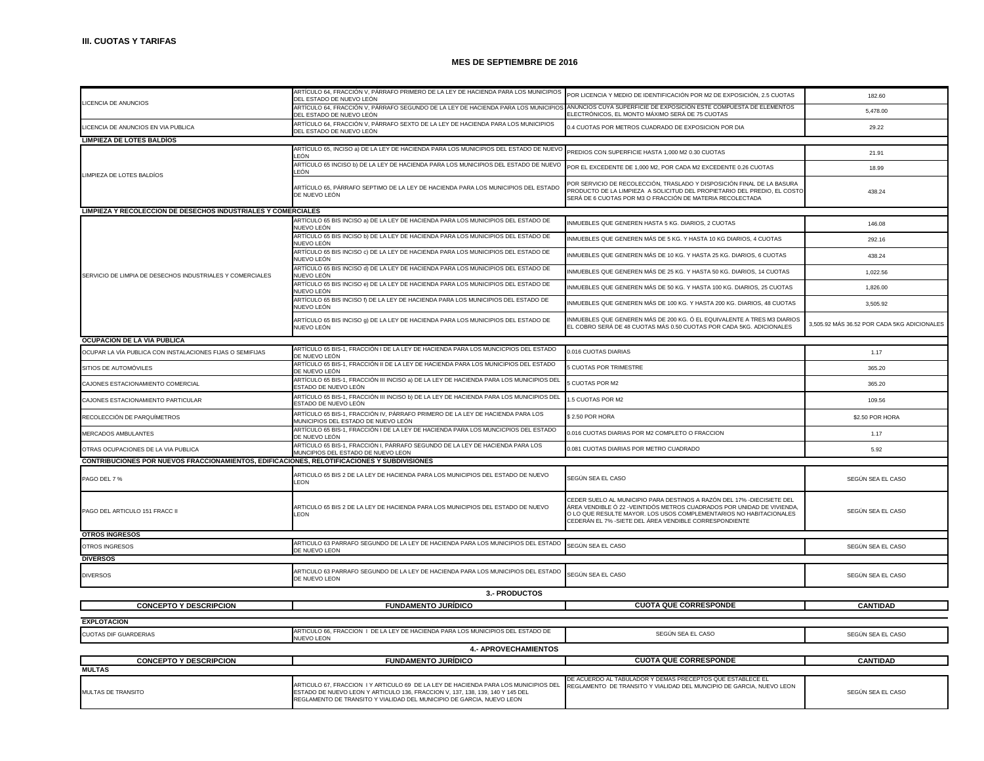|                                                                                                                | ARTÍCULO 64, FRACCIÓN V, PÁRRAFO PRIMERO DE LA LEY DE HACIENDA PARA LOS MUNICIPIOS<br>DEL ESTADO DE NUEVO LEÓN                                                                                                                                | POR LICENCIA Y MEDIO DE IDENTIFICACIÓN POR M2 DE EXPOSICIÓN, 2.5 CUOTAS                                                                                                                                                                                                          | 182.60                                      |
|----------------------------------------------------------------------------------------------------------------|-----------------------------------------------------------------------------------------------------------------------------------------------------------------------------------------------------------------------------------------------|----------------------------------------------------------------------------------------------------------------------------------------------------------------------------------------------------------------------------------------------------------------------------------|---------------------------------------------|
| LICENCIA DE ANUNCIOS                                                                                           | ARTÍCULO 64, FRACCIÓN V, PÁRRAFO SEGUNDO DE LA LEY DE HACIENDA PARA LOS MUNICIPIO<br>DEL ESTADO DE NUEVO LEÓN                                                                                                                                 | ANUNCIOS CUYA SUPERFICIE DE EXPOSICIÓN ESTE COMPUESTA DE ELEMENTOS<br>ELECTRÓNICOS, EL MONTO MÁXIMO SERÁ DE 75 CUOTAS                                                                                                                                                            | 5,478.00                                    |
| LICENCIA DE ANUNCIOS EN VIA PUBLICA                                                                            | ARTÍCULO 64, FRACCIÓN V, PÁRRAFO SEXTO DE LA LEY DE HACIENDA PARA LOS MUNICIPIOS<br>DEL ESTADO DE NUEVO LEÓN                                                                                                                                  | 0.4 CUOTAS POR METROS CUADRADO DE EXPOSICION POR DIA                                                                                                                                                                                                                             | 29.22                                       |
| <b>LIMPIEZA DE LOTES BALDIOS</b>                                                                               |                                                                                                                                                                                                                                               |                                                                                                                                                                                                                                                                                  |                                             |
|                                                                                                                | ARTÍCULO 65, INCISO a) DE LA LEY DE HACIENDA PARA LOS MUNICIPIOS DEL ESTADO DE NUEVO PREDIOS CON SUPERFICIE HASTA 1,000 M2 0.30 CUOTAS<br>I FÓN                                                                                               |                                                                                                                                                                                                                                                                                  | 21.91                                       |
|                                                                                                                | ARTÍCULO 65 INCISO b) DE LA LEY DE HACIENDA PARA LOS MUNICIPIOS DEL ESTADO DE NUEVO<br>LEÓN                                                                                                                                                   | POR EL EXCEDENTE DE 1,000 M2, POR CADA M2 EXCEDENTE 0.26 CUOTAS                                                                                                                                                                                                                  | 18.99                                       |
| LIMPIEZA DE LOTES BALDÍOS                                                                                      | ARTÍCULO 65, PÁRRAFO SEPTIMO DE LA LEY DE HACIENDA PARA LOS MUNICIPIOS DEL ESTADO<br>DE NUEVO LEÓN                                                                                                                                            | POR SERVICIO DE RECOLECCIÓN, TRASLADO Y DISPOSICIÓN FINAL DE LA BASURA<br>PRODUCTO DE LA LIMPIEZA A SOLICITUD DEL PROPIETARIO DEL PREDIO, EL COSTO<br>SERÁ DE 6 CUOTAS POR M3 O FRACCIÓN DE MATERIA RECOLECTADA                                                                  | 438.24                                      |
| LIMPIEZA Y RECOLECCION DE DESECHOS INDUSTRIALES Y COMERCIALES                                                  |                                                                                                                                                                                                                                               |                                                                                                                                                                                                                                                                                  |                                             |
|                                                                                                                | ARTÍCULO 65 BIS INCISO a) DE LA LEY DE HACIENDA PARA LOS MUNICIPIOS DEL ESTADO DE<br>NUEVO LEÓN                                                                                                                                               | INMUEBLES QUE GENEREN HASTA 5 KG. DIARIOS, 2 CUOTAS                                                                                                                                                                                                                              | 146.08                                      |
|                                                                                                                | ARTÍCULO 65 BIS INCISO b) DE LA LEY DE HACIENDA PARA LOS MUNICIPIOS DEL ESTADO DE<br>NUEVO LEÓN                                                                                                                                               | NMUEBLES QUE GENEREN MÁS DE 5 KG. Y HASTA 10 KG DIARIOS, 4 CUOTAS                                                                                                                                                                                                                | 292.16                                      |
|                                                                                                                | ARTÍCULO 65 BIS INCISO c) DE LA LEY DE HACIENDA PARA LOS MUNICIPIOS DEL ESTADO DE<br>NUEVO LEÓN                                                                                                                                               | NMUEBLES QUE GENEREN MÁS DE 10 KG. Y HASTA 25 KG. DIARIOS, 6 CUOTAS                                                                                                                                                                                                              | 438.24                                      |
| SERVICIO DE LIMPIA DE DESECHOS INDUSTRIALES Y COMERCIALES                                                      | ARTÍCULO 65 BIS INCISO d) DE LA LEY DE HACIENDA PARA LOS MUNICIPIOS DEL ESTADO DE<br>NUEVO LEÓN                                                                                                                                               | INMUEBLES QUE GENEREN MÁS DE 25 KG. Y HASTA 50 KG. DIARIOS, 14 CUOTAS                                                                                                                                                                                                            | 1,022.56                                    |
|                                                                                                                | ARTÍCULO 65 BIS INCISO e) DE LA LEY DE HACIENDA PARA LOS MUNICIPIOS DEL ESTADO DE<br>NUEVO LEÓN                                                                                                                                               | INMUEBLES QUE GENEREN MÁS DE 50 KG. Y HASTA 100 KG. DIARIOS. 25 CUOTAS                                                                                                                                                                                                           | 1,826.00                                    |
|                                                                                                                | ARTÍCULO 65 BIS INCISO f) DE LA LEY DE HACIENDA PARA LOS MUNICIPIOS DEL ESTADO DE<br>NUEVO LEÓN                                                                                                                                               | INMUEBLES QUE GENEREN MÁS DE 100 KG. Y HASTA 200 KG. DIARIOS, 48 CUOTAS                                                                                                                                                                                                          | 3,505.92                                    |
|                                                                                                                | ARTÍCULO 65 BIS INCISO g) DE LA LEY DE HACIENDA PARA LOS MUNICIPIOS DEL ESTADO DE<br>NUEVO LEÓN                                                                                                                                               | INMUEBLES QUE GENEREN MÁS DE 200 KG. Ó EL EQUIVALENTE A TRES M3 DIARIOS<br>EL COBRO SERÁ DE 48 CUOTAS MÁS 0.50 CUOTAS POR CADA 5KG. ADICIONALES                                                                                                                                  | 3,505.92 MÁS 36.52 POR CADA 5KG ADICIONALES |
| OCUPACION DE LA VIA PUBLICA                                                                                    |                                                                                                                                                                                                                                               |                                                                                                                                                                                                                                                                                  |                                             |
| OCUPAR LA VÍA PUBLICA CON INSTALACIONES FIJAS O SEMIFIJAS                                                      | ARTÍCULO 65 BIS-1, FRACCIÓN I DE LA LEY DE HACIENDA PARA LOS MUNCICPIOS DEL ESTADO<br>JE NUEVO LEÓN                                                                                                                                           | 0.016 CUOTAS DIARIAS                                                                                                                                                                                                                                                             | 1.17                                        |
| SITIOS DE AUTOMÓVILES                                                                                          | ARTÍCULO 65 BIS-1, FRACCIÓN II DE LA LEY DE HACIENDA PARA LOS MUNICIPIOS DEL ESTADO<br>DE NUEVO LEÓN                                                                                                                                          | <b>CUOTAS POR TRIMESTRE</b>                                                                                                                                                                                                                                                      | 365.20                                      |
| CAJONES ESTACIONAMIENTO COMERCIAL                                                                              | ARTÍCULO 65 BIS-1, FRACCIÓN III INCISO a) DE LA LEY DE HACIENDA PARA LOS MUNICIPIOS DEL<br>ESTADO DE NUEVO LEÓN                                                                                                                               | <b>CUOTAS POR M2</b>                                                                                                                                                                                                                                                             | 365.20                                      |
| CAJONES ESTACIONAMIENTO PARTICULAR                                                                             | ARTÍCULO 65 BIS-1, FRACCIÓN III INCISO b) DE LA LEY DE HACIENDA PARA LOS MUNICIPIOS DEL<br>ESTADO DE NUEVO LEÓN                                                                                                                               | .5 CUOTAS POR M2                                                                                                                                                                                                                                                                 | 109.56                                      |
| RECOLECCIÓN DE PARQUÍMETROS                                                                                    | ARTÍCULO 65 BIS-1, FRACCIÓN IV, PÁRRAFO PRIMERO DE LA LEY DE HACIENDA PARA LOS<br>MUNICIPIOS DEL ESTADO DE NUEVO LEÓN                                                                                                                         | \$2.50 POR HORA                                                                                                                                                                                                                                                                  | \$2.50 POR HORA                             |
| MERCADOS AMBULANTES                                                                                            | ARTÍCULO 65 BIS-1, FRACCIÓN I DE LA LEY DE HACIENDA PARA LOS MUNCICPIOS DEL ESTADO<br>DE NUEVO LEÓN                                                                                                                                           | 0.016 CUOTAS DIARIAS POR M2 COMPLETO O FRACCION                                                                                                                                                                                                                                  | 1.17                                        |
| OTRAS OCUPACIONES DE LA VIA PUBLICA                                                                            | ARTÍCULO 65 BIS-1, FRACCIÓN I, PÁRRAFO SEGUNDO DE LA LEY DE HACIENDA PARA LOS<br>MUNCIPIOS DEL ESTADO DE NUEVO LEON                                                                                                                           | 0.081 CUOTAS DIARIAS POR METRO CUADRADO                                                                                                                                                                                                                                          | 5.92                                        |
| CONTRIBUCIONES POR NUEVOS FRACCIONAMIENTOS, EDIFICACIONES, RELOTIFICACIONES Y SUBDIVISIONES                    |                                                                                                                                                                                                                                               |                                                                                                                                                                                                                                                                                  |                                             |
| PAGO DEL 7 %                                                                                                   | ARTICULO 65 BIS 2 DE LA LEY DE HACIENDA PARA LOS MUNICIPIOS DEL ESTADO DE NUEVO<br>LEON                                                                                                                                                       | SEGÚN SEA EL CASO                                                                                                                                                                                                                                                                | SEGÚN SEA EL CASO                           |
| PAGO DEL ARTICULO 151 FRACC II                                                                                 | ARTICULO 65 BIS 2 DE LA LEY DE HACIENDA PARA LOS MUNICIPIOS DEL ESTADO DE NUEVO<br>LEON                                                                                                                                                       | CEDER SUELO AL MUNICIPIO PARA DESTINOS A RAZÓN DEL 17% -DIECISIETE DEL<br>ÁREA VENDIBLE Ó 22 -VEINTIDÓS METROS CUADRADOS POR UNIDAD DE VIVIENDA.<br>O LO QUE RESULTE MAYOR. LOS USOS COMPLEMENTARIOS NO HABITACIONALES<br>CEDERÁN EL 7% -SIETE DEL ÁREA VENDIBLE CORRESPONDIENTE | SEGÚN SEA EL CASO                           |
| <b>OTROS INGRESOS</b>                                                                                          |                                                                                                                                                                                                                                               |                                                                                                                                                                                                                                                                                  |                                             |
| OTROS INGRESOS                                                                                                 | ARTICULO 63 PARRAFO SEGUNDO DE LA LEY DE HACIENDA PARA LOS MUNICIPIOS DEL ESTADO<br>DE NUEVO LEON                                                                                                                                             | SEGÚN SEA EL CASO                                                                                                                                                                                                                                                                | SEGÚN SEA EL CASO                           |
| <b>DIVERSOS</b>                                                                                                |                                                                                                                                                                                                                                               |                                                                                                                                                                                                                                                                                  |                                             |
| <b>DIVERSOS</b>                                                                                                | ARTICULO 63 PARRAFO SEGUNDO DE LA LEY DE HACIENDA PARA LOS MUNICIPIOS DEL ESTADO<br>DE NUEVO LEON                                                                                                                                             | SEGÚN SEA EL CASO                                                                                                                                                                                                                                                                | SEGÚN SEA EL CASO                           |
| 3.- PRODUCTOS                                                                                                  |                                                                                                                                                                                                                                               |                                                                                                                                                                                                                                                                                  |                                             |
| <b>CONCEPTO Y DESCRIPCION</b>                                                                                  | <b>FUNDAMENTO JURÍDICO</b>                                                                                                                                                                                                                    | <b>CUOTA QUE CORRESPONDE</b>                                                                                                                                                                                                                                                     | <b>CANTIDAD</b>                             |
| <b>EXPLOTACION</b>                                                                                             |                                                                                                                                                                                                                                               |                                                                                                                                                                                                                                                                                  |                                             |
| <b>CUOTAS DIF GUARDERIAS</b>                                                                                   | ARTICULO 66, FRACCION I DE LA LEY DE HACIENDA PARA LOS MUNICIPIOS DEL ESTADO DE<br>NUEVO LEON                                                                                                                                                 | SEGÚN SEA EL CASO                                                                                                                                                                                                                                                                | SEGÚN SEA EL CASO                           |
| <b>4.- APROVECHAMIENTOS</b>                                                                                    |                                                                                                                                                                                                                                               |                                                                                                                                                                                                                                                                                  |                                             |
| <b>CUOTA QUE CORRESPONDE</b><br><b>CONCEPTO Y DESCRIPCION</b><br><b>FUNDAMENTO JURÍDICO</b><br><b>CANTIDAD</b> |                                                                                                                                                                                                                                               |                                                                                                                                                                                                                                                                                  |                                             |
| <b>MULTAS</b>                                                                                                  |                                                                                                                                                                                                                                               |                                                                                                                                                                                                                                                                                  |                                             |
| MULTAS DE TRANSITO                                                                                             | ARTICULO 67, FRACCION I Y ARTICULO 69 DE LA LEY DE HACIENDA PARA LOS MUNICIPIOS DEL<br>ESTADO DE NUEVO LEON Y ARTICULO 136, FRACCION V, 137, 138, 139, 140 Y 145 DEL<br>REGLAMENTO DE TRANSITO Y VIALIDAD DEL MUNICIPIO DE GARCIA, NUEVO LEON | DE ACUERDO AL TABULADOR Y DEMAS PRECEPTOS QUE ESTABLECE EL<br>REGLAMENTO DE TRANSITO Y VIALIDAD DEL MUNCIPIO DE GARCIA, NUEVO LEON                                                                                                                                               | SEGÚN SEA EL CASO                           |